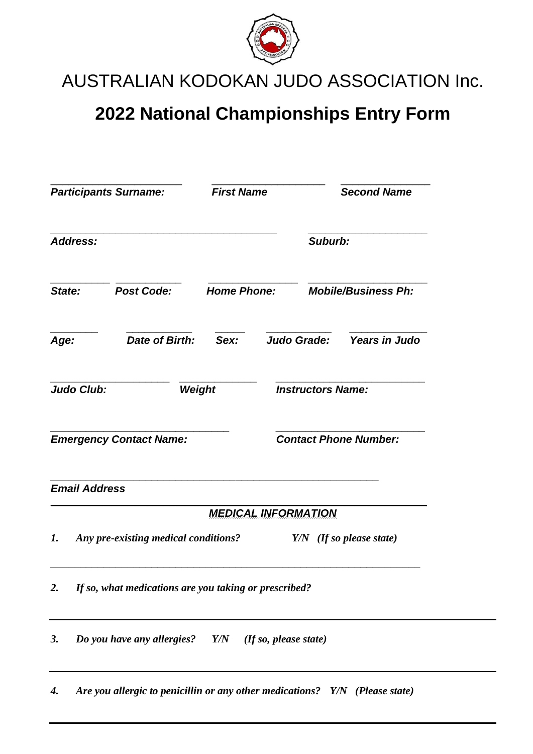

AUSTRALIAN KODOKAN JUDO ASSOCIATION Inc.

## **2022 National Championships Entry Form**

| <b>Participants Surname:</b>   |                                                       |                                                                                                  | <b>First Name</b>  |             | <b>Second Name</b><br>Suburb: |                      |
|--------------------------------|-------------------------------------------------------|--------------------------------------------------------------------------------------------------|--------------------|-------------|-------------------------------|----------------------|
| <b>Address:</b>                |                                                       |                                                                                                  |                    |             |                               |                      |
| State:                         |                                                       | <b>Post Code:</b>                                                                                | <b>Home Phone:</b> |             | <b>Mobile/Business Ph:</b>    |                      |
| Age:                           |                                                       | <b>Date of Birth:</b>                                                                            | Sex:               | Judo Grade: |                               | <b>Years in Judo</b> |
| <b>Judo Club:</b>              |                                                       |                                                                                                  | Weight             |             | <b>Instructors Name:</b>      |                      |
| <b>Emergency Contact Name:</b> |                                                       |                                                                                                  |                    |             | <b>Contact Phone Number:</b>  |                      |
|                                | <b>Email Address</b>                                  |                                                                                                  |                    |             |                               |                      |
| 1.                             |                                                       | <b>MEDICAL INFORMATION</b><br>Any pre-existing medical conditions?<br>$Y/N$ (If so please state) |                    |             |                               |                      |
| 2.                             | If so, what medications are you taking or prescribed? |                                                                                                  |                    |             |                               |                      |
| <b>3.</b>                      |                                                       | Do you have any allergies? $Y/N$ (If so, please state)                                           |                    |             |                               |                      |
| 4.                             |                                                       | Are you allergic to penicillin or any other medications? Y/N (Please state)                      |                    |             |                               |                      |